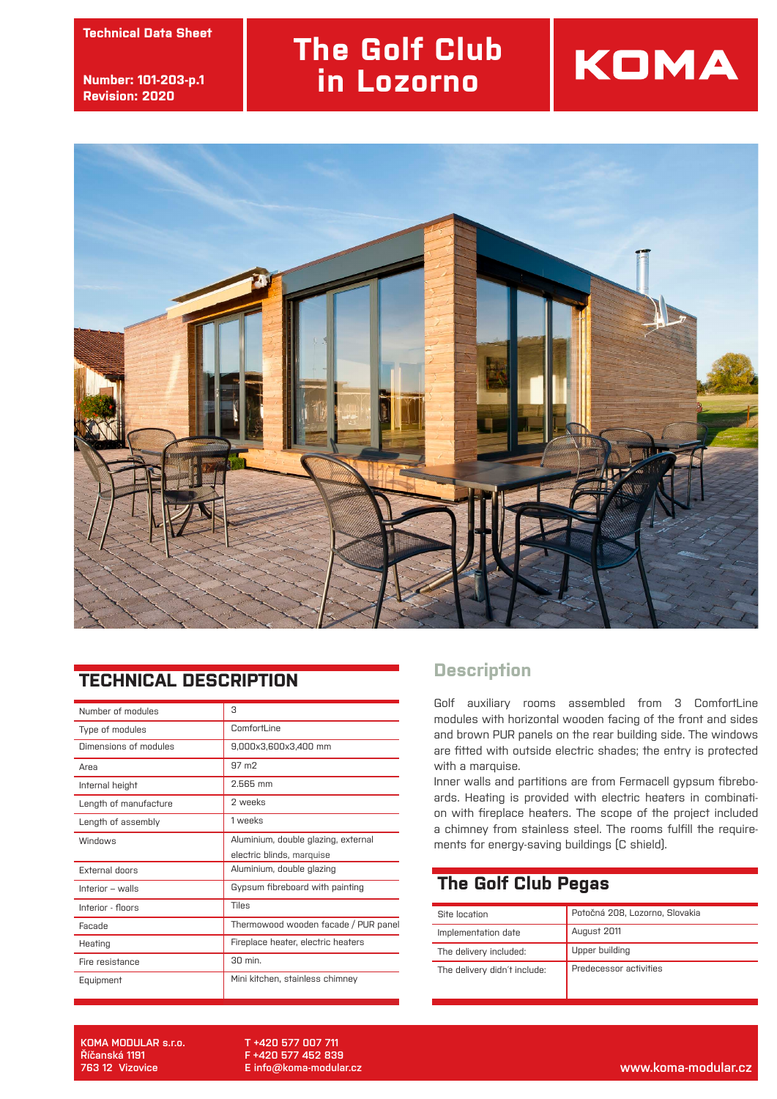**technický list Technical Data Sheet**

**číslo: 101-002-str.2 Number: 101-203-p.1 revize: 30.9.2013 Revision: 2020**

## **The Golf Club in Lozorno**





## **TECHNICAL DESCRIPTION**

| Number of modules     | 3                                    |
|-----------------------|--------------------------------------|
| Type of modules       | ComfortLine                          |
| Dimensions of modules | 9,000x3,600x3,400 mm                 |
| Area                  | $97 \text{ m}$                       |
| Internal height       | 2.565 mm                             |
| Length of manufacture | 2 weeks                              |
| Length of assembly    | 1 weeks                              |
| Windows               | Aluminium, double glazing, external  |
|                       | electric blinds, marquise            |
| External doors        | Aluminium, double glazing            |
| Interior - walls      | Gypsum fibreboard with painting      |
| Interior - floors     | Tiles                                |
| Facade                | Thermowood wooden facade / PUR panel |
| Heating               | Fireplace heater, electric heaters   |
| Fire resistance       | 30 min.                              |
| Equipment             | Mini kitchen, stainless chimney      |

## **Description**

Golf auxiliary rooms assembled from 3 ComfortLine modules with horizontal wooden facing of the front and sides and brown PUR panels on the rear building side. The windows are fitted with outside electric shades; the entry is protected with a marquise.

Inner walls and partitions are from Fermacell gypsum fibreboards. Heating is provided with electric heaters in combination with fireplace heaters. The scope of the project included a chimney from stainless steel. The rooms fulfill the requirements for energy-saving buildings (C shield).

## **The Golf Club Pegas**

| Site location                | Potočná 208, Lozorno, Slovakia |
|------------------------------|--------------------------------|
| Implementation date          | August 2011                    |
| The delivery included:       | Upper building                 |
| The delivery didn't include: | Predecessor activities         |

**KOMA MODULAR s.r.o. Říčanská 1191**

**T +420 577 007 711 F +420 577 452 839 E info@koma-modular.cz**

**763 12 Vizovice www.koma-modular.cz**